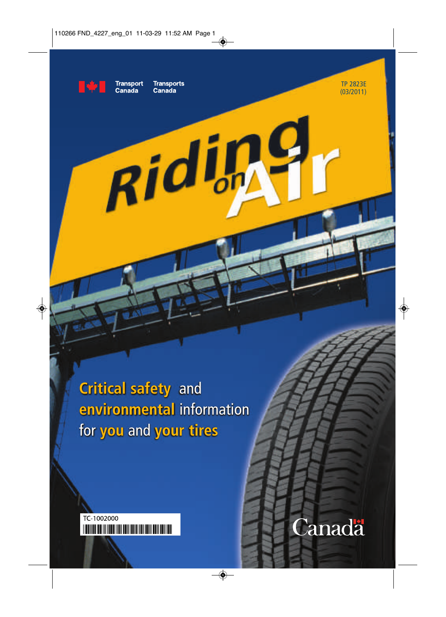

**Transport Transports** Canada

Riding

Canaḋa

TP 2823E (03/2011)

Canada

**Critical safety** and **environmental** information for **you** and **your tires**

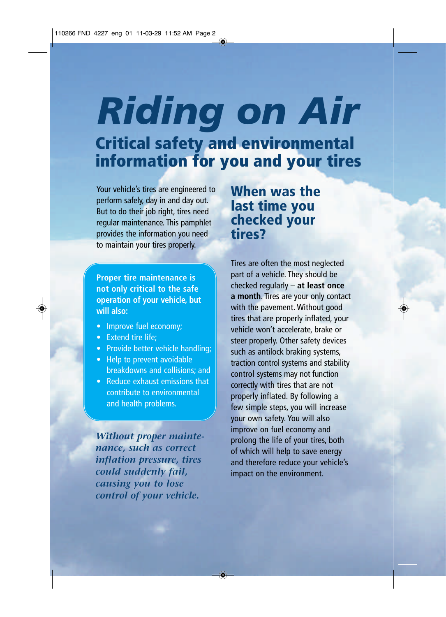# *Riding on Air* **Critical safety and environmental information for you and your tires**

Your vehicle's tires are engineered to perform safely, day in and day out. But to do their job right, tires need regular maintenance. This pamphlet provides the information you need to maintain your tires properly.

**Proper tire maintenance is not only critical to the safe operation of your vehicle, but will also:**

- Improve fuel economy;
- Extend tire life:
- Provide better vehicle handling;
- Help to prevent avoidable breakdowns and collisions; and
- Reduce exhaust emissions that contribute to environmental and health problems.

*Without proper maintenance, such as correct inflation pressure, tires could suddenly fail, causing you to lose control of your vehicle.*

**When was the last time you checked your tires?** 

Tires are often the most neglected part of a vehicle. They should be checked regularly – **at least once a month**. Tires are your only contact with the pavement. Without good tires that are properly inflated, your vehicle won't accelerate, brake or steer properly. Other safety devices such as antilock braking systems, traction control systems and stability control systems may not function correctly with tires that are not properly inflated. By following a few simple steps, you will increase your own safety. You will also improve on fuel economy and prolong the life of your tires, both of which will help to save energy and therefore reduce your vehicle's impact on the environment.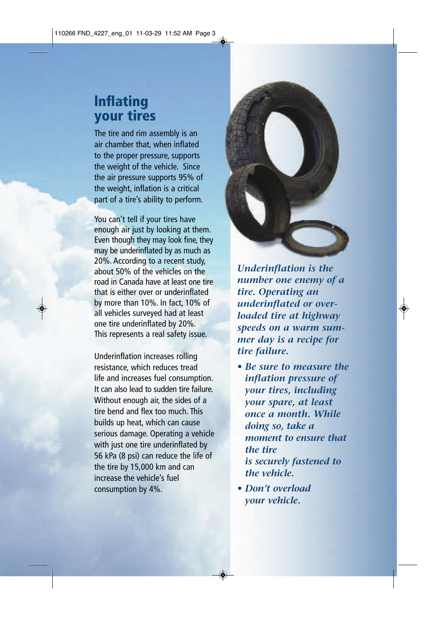### **lnflating your tires**

The tire and rim assembly is an air chamber that, when inflated to the proper pressure, supports the weight of the vehicle. Since the air pressure supports 95% of the weight, inflation is a critical part of a tire's ability to perform.

You can't tell if your tires have enough air just by looking at them. Even though they may look fine, they may be underinflated by as much as 20%. According to a recent study, about 50% of the vehicles on the road in Canada have at least one tire that is either over or underinflated by more than 10%. In fact, 10% of all vehicles surveyed had at least one tire underinflated by 20%. This represents a real safety issue.

Underinflation increases rolling resistance, which reduces tread life and increases fuel consumption. It can also lead to sudden tire failure. Without enough air, the sides of a tire bend and flex too much. This builds up heat, which can cause serious damage. Operating a vehicle with just one tire underinflated by 56 kPa (8 psi) can reduce the life of the tire by 15,000 km and can increase the vehicle's fuel consumption by 4%.



*Underinflation is the number one enemy of a tire. Operating an underinflated or overloaded tire at highway speeds on a warm summer day is a recipe for tire failure.*

- *Be sure to measure the inflation pressure of your tires, including your spare, at least once a month. While doing so, take a moment to ensure that the tire is securely fastened to the vehicle.*
- *Don't overload your vehicle.*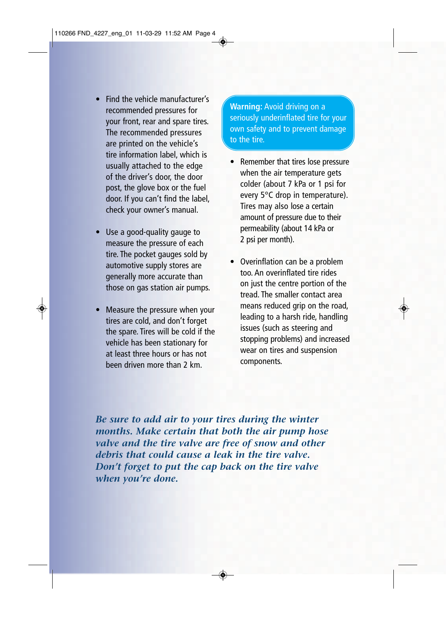- Find the vehicle manufacturer's recommended pressures for your front, rear and spare tires. The recommended pressures are printed on the vehicle's tire information label, which is usually attached to the edge of the driver's door, the door post, the glove box or the fuel door. If you can't find the label, check your owner's manual.
- Use a good-quality gauge to measure the pressure of each tire. The pocket gauges sold by automotive supply stores are generally more accurate than those on gas station air pumps.
- Measure the pressure when your tires are cold, and don't forget the spare. Tires will be cold if the vehicle has been stationary for at least three hours or has not been driven more than 2 km.

**Warning:** Avoid driving on a seriously underinflated tire for your own safety and to prevent damage to the tire.

- Remember that tires lose pressure when the air temperature gets colder (about 7 kPa or 1 psi for every 5°C drop in temperature). Tires may also lose a certain amount of pressure due to their permeability (about 14 kPa or 2 psi per month).
- Overinflation can be a problem too. An overinflated tire rides on just the centre portion of the tread. The smaller contact area means reduced grip on the road, leading to a harsh ride, handling issues (such as steering and stopping problems) and increased wear on tires and suspension components.

*Be sure to add air to your tires during the winter months. Make certain that both the air pump hose valve and the tire valve are free of snow and other debris that could cause a leak in the tire valve. Don't forget to put the cap back on the tire valve when you're done.*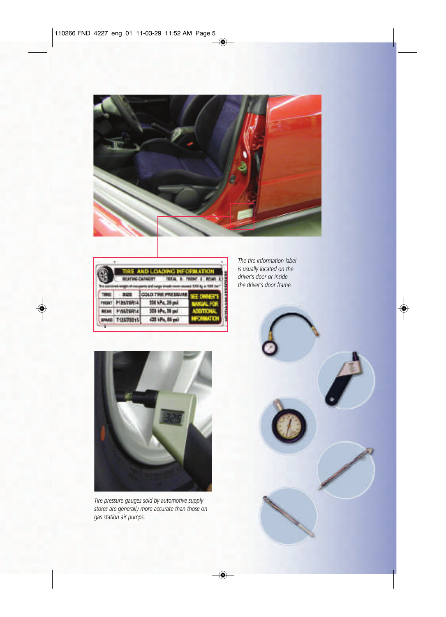

|                                                                                   | TIRE AND LOADING INFORMATION |                   |  |
|-----------------------------------------------------------------------------------|------------------------------|-------------------|--|
| <b>ISTAL 8 FRONT-1</b><br><b><i>EATHG CATAOTT</i></b><br>$\overline{\phantom{a}}$ |                              |                   |  |
|                                                                                   |                              |                   |  |
|                                                                                   |                              |                   |  |
|                                                                                   |                              | id's: 20 per      |  |
|                                                                                   |                              | <b>128 kPa 86</b> |  |

*The tire information label is usually located on the driver's door or inside the driver's door frame.*



*Tire pressure gauges sold by automotive supply stores are generally more accurate than those on gas station air pumps.*

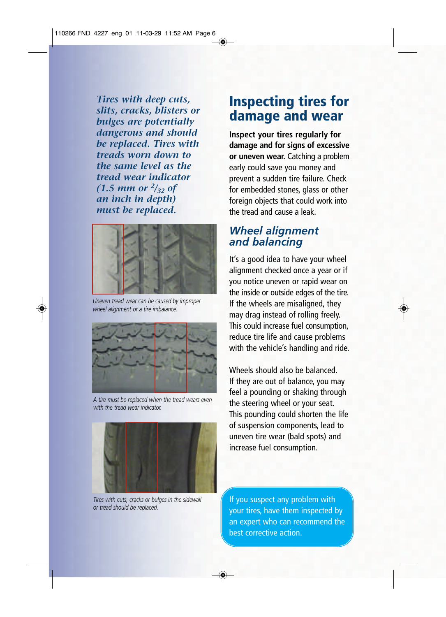*Tires with deep cuts, slits, cracks, blisters or bulges are potentially dangerous and should be replaced. Tires with treads worn down to the same level as the tread wear indicator*   $(1.5 \text{ mm or } \frac{2}{32} \text{ of }$ *an inch in depth) must be replaced.* 



*Uneven tread wear can be caused by improper wheel alignment or a tire imbalance.*



*A tire must be replaced when the tread wears even with the tread wear indicator.*



*Tires with cuts, cracks or bulges in the sidewall or tread should be replaced.*

### **Inspecting tires for damage and wear**

**Inspect your tires regularly for damage and for signs of excessive or uneven wear.** Catching a problem early could save you money and prevent a sudden tire failure. Check for embedded stones, glass or other foreign objects that could work into the tread and cause a leak.

#### *Wheel alignment and balancing*

It's a good idea to have your wheel alignment checked once a year or if you notice uneven or rapid wear on the inside or outside edges of the tire. If the wheels are misaligned, they may drag instead of rolling freely. This could increase fuel consumption, reduce tire life and cause problems with the vehicle's handling and ride.

Wheels should also be balanced. If they are out of balance, you may feel a pounding or shaking through the steering wheel or your seat. This pounding could shorten the life of suspension components, lead to uneven tire wear (bald spots) and increase fuel consumption.

If you suspect any problem with your tires, have them inspected by an expert who can recommend the best corrective action.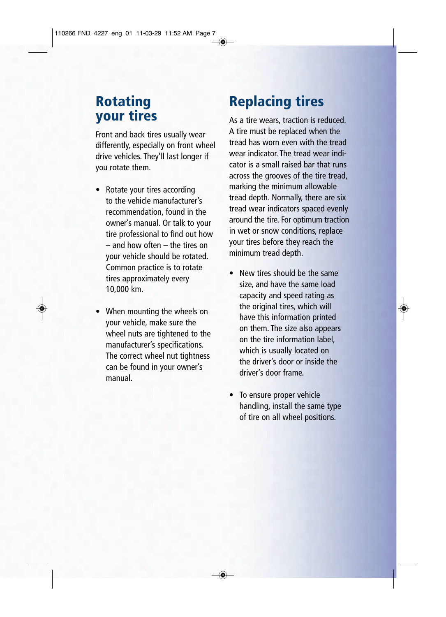### **Rotating your tires**

Front and back tires usually wear differently, especially on front wheel drive vehicles. They'll last longer if you rotate them.

- Rotate your tires according to the vehicle manufacturer's recommendation, found in the owner's manual. Or talk to your tire professional to find out how – and how often – the tires on your vehicle should be rotated. Common practice is to rotate tires approximately every 10,000 km.
- When mounting the wheels on your vehicle, make sure the wheel nuts are tightened to the manufacturer's specifications. The correct wheel nut tightness can be found in your owner's manual.

# **Replacing tires**

As a tire wears, traction is reduced. A tire must be replaced when the tread has worn even with the tread wear indicator. The tread wear indicator is a small raised bar that runs across the grooves of the tire tread, marking the minimum allowable tread depth. Normally, there are six tread wear indicators spaced evenly around the tire. For optimum traction in wet or snow conditions, replace your tires before they reach the minimum tread depth.

- New tires should be the same size, and have the same load capacity and speed rating as the original tires, which will have this information printed on them. The size also appears on the tire information label, which is usually located on the driver's door or inside the driver's door frame.
- To ensure proper vehicle handling, install the same type of tire on all wheel positions.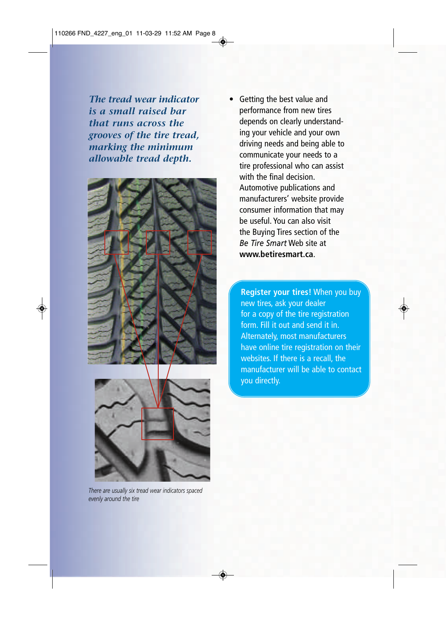*The tread wear indicator is a small raised bar that runs across the grooves of the tire tread, marking the minimum allowable tread depth.*



*There are usually six tread wear indicators spaced evenly around the tire*

• Getting the best value and performance from new tires depends on clearly understanding your vehicle and your own driving needs and being able to communicate your needs to a tire professional who can assist with the final decision. Automotive publications and manufacturers' website provide consumer information that may be useful. You can also visit the Buying Tires section of the *Be Tire Smart* Web site at **www.betiresmart.ca**.

**Register your tires!** When you buy new tires, ask your dealer for a copy of the tire registration form. Fill it out and send it in. Alternately, most manufacturers have online tire registration on their websites. If there is a recall, the manufacturer will be able to contact you directly.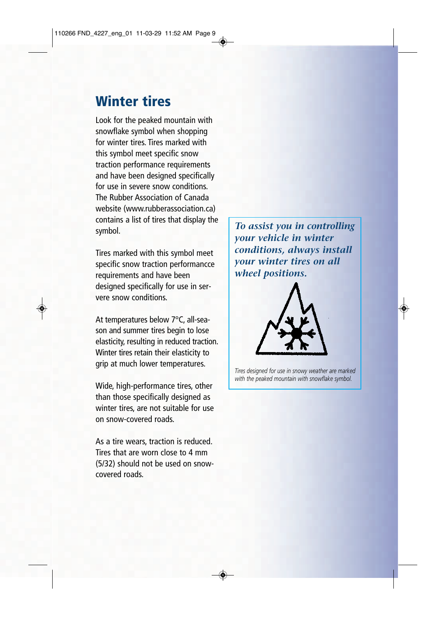### **Winter tires**

Look for the peaked mountain with snowflake symbol when shopping for winter tires. Tires marked with this symbol meet specific snow traction performance requirements and have been designed specifically for use in severe snow conditions. The Rubber Association of Canada website (www.rubberassociation.ca) contains a list of tires that display the symbol.

Tires marked with this symbol meet specific snow traction performancce requirements and have been designed specifically for use in servere snow conditions.

At temperatures below 7°C, all-season and summer tires begin to lose elasticity, resulting in reduced traction. Winter tires retain their elasticity to grip at much lower temperatures.

Wide, high-performance tires, other than those specifically designed as winter tires, are not suitable for use on snow-covered roads.

As a tire wears, traction is reduced. Tires that are worn close to 4 mm (5/32) should not be used on snowcovered roads.

*To assist you in controlling your vehicle in winter conditions, always install your winter tires on all wheel positions.*



*Tires designed for use in snowy weather are marked with the peaked mountain with snowflake symbol.*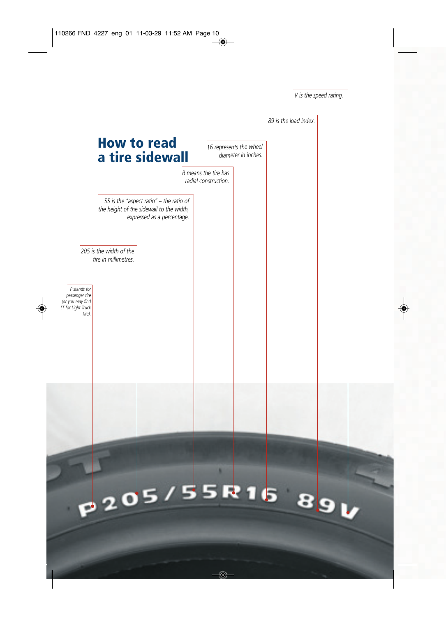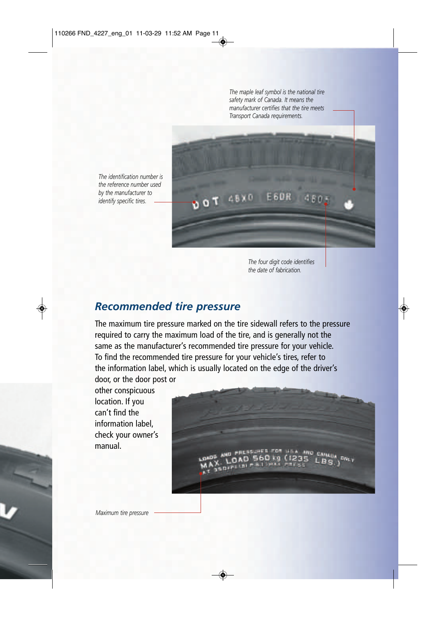*The maple leaf symbol is the national tire safety mark of Canada. It means the manufacturer certifies that the tire meets Transport Canada requirements.* 

*The identification number is the reference number used by the manufacturer to identify specific tires.* 



*The four digit code identifies the date of fabrication.*

#### *Recommended tire pressure*

The maximum tire pressure marked on the tire sidewall refers to the pressure required to carry the maximum load of the tire, and is generally not the same as the manufacturer's recommended tire pressure for your vehicle. To find the recommended tire pressure for your vehicle's tires, refer to the information label, which is usually located on the edge of the driver's door, or the door post or

other conspicuous location. If you can't find the information label, check your owner's manual.

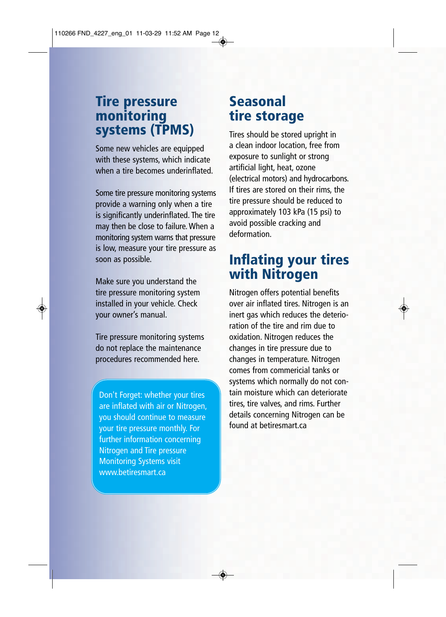#### **Tire pressure monitoring systems (TPMS)**

Some new vehicles are equipped with these systems, which indicate when a tire becomes underinflated.

Some tire pressure monitoring systems provide a warning only when a tire is significantly underinflated. The tire may then be close to failure. When a monitoring system warns that pressure is low, measure your tire pressure as soon as possible.

Make sure you understand the tire pressure monitoring system installed in your vehicle. Check your owner's manual.

Tire pressure monitoring systems do not replace the maintenance procedures recommended here.

Don't Forget: whether your tires are inflated with air or Nitrogen, you should continue to measure your tire pressure monthly. For further information concerning Nitrogen and Tire pressure Monitoring Systems visit www.betiresmart.ca

### **Seasonal tire storage**

Tires should be stored upright in a clean indoor location, free from exposure to sunlight or strong artificial light, heat, ozone (electrical motors) and hydrocarbons. If tires are stored on their rims, the tire pressure should be reduced to approximately 103 kPa (15 psi) to avoid possible cracking and deformation.

### **Inflating your tires with Nitrogen**

Nitrogen offers potential benefits over air inflated tires. Nitrogen is an inert gas which reduces the deterioration of the tire and rim due to oxidation. Nitrogen reduces the changes in tire pressure due to changes in temperature. Nitrogen comes from commericial tanks or systems which normally do not contain moisture which can deteriorate tires, tire valves, and rims. Further details concerning Nitrogen can be found at betiresmart.ca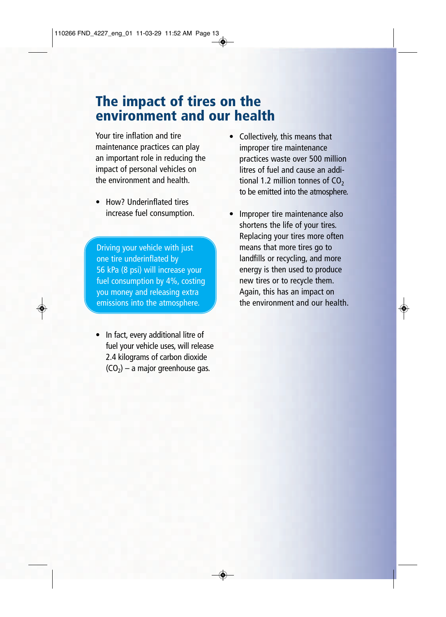### **The impact of tires on the environment and our health**

Your tire inflation and tire maintenance practices can play an important role in reducing the impact of personal vehicles on the environment and health.

• How? Underinflated tires increase fuel consumption.

Driving your vehicle with just one tire underinflated by 56 kPa (8 psi) will increase your fuel consumption by 4%, costing you money and releasing extra emissions into the atmosphere.

• In fact, every additional litre of fuel your vehicle uses, will release 2.4 kilograms of carbon dioxide  $(CO<sub>2</sub>)$  – a major greenhouse gas.

- Collectively, this means that improper tire maintenance practices waste over 500 million litres of fuel and cause an additional 1.2 million tonnes of  $CO<sub>2</sub>$ to be emitted into the atmosphere.
- Improper tire maintenance also shortens the life of your tires. Replacing your tires more often means that more tires go to landfills or recycling, and more energy is then used to produce new tires or to recycle them. Again, this has an impact on the environment and our health.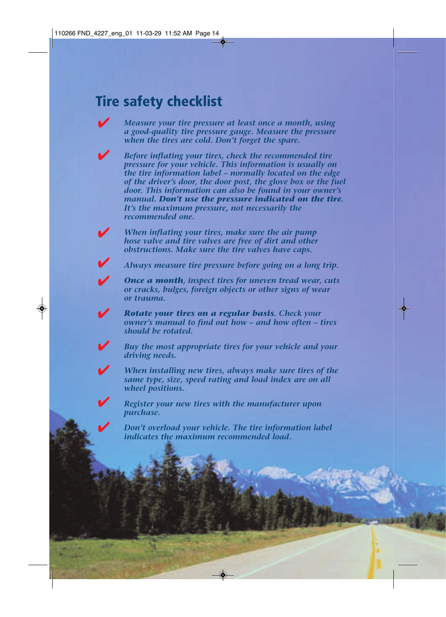### **Tire safety checklist**

V

*Measure your tire pressure at least once a month, using a good-quality tire pressure gauge. Measure the pressure when the tires are cold. Don't forget the spare.*

*Before inflating your tires, check the recommended tire pressure for your vehicle. This information is usually on the tire information label – normally located on the edge of the driver's door, the door post, the glove box or the fuel door. This information can also be found in your owner's manual. Don't use the pressure indicated on the tire. It's the maximum pressure, not necessarily the recommended one.* 

*When inflating your tires, make sure the air pump hose valve and tire valves are free of dirt and other obstructions. Make sure the tire valves have caps.*

*Always measure tire pressure before going on a long trip.*

*Once a month, inspect tires for uneven tread wear, cuts or cracks, bulges, foreign objects or other signs of wear or trauma.*

*Rotate your tires on a regular basis. Check your owner's manual to find out how – and how often – tires should be rotated.* 

*Buy the most appropriate tires for your vehicle and your driving needs.*

*When installing new tires, always make sure tires of the same type, size, speed rating and load index are on all wheel positions.*

*Register your new tires with the manufacturer upon purchase.*

*Don't overload your vehicle. The tire information label indicates the maximum recommended load.*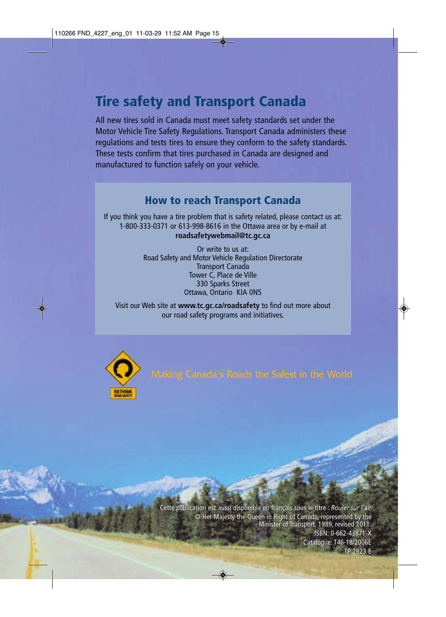## **Tire safety and Transport Canada**

All new tires sold in Canada must meet safety standards set under the Motor Vehicle Tire Safety Regulations. Transport Canada administers these regulations and tests tires to ensure they conform to the safety standards. These tests confirm that tires purchased in Canada are designed and manufactured to function safely on your vehicle.

#### **How to reach Transport Canada**

If you think you have a tire problem that is safety related, please contact us at: 1-800-333-0371 or 613-998-8616 in the Ottawa area or by e-mail at **roadsafetywebmail@tc.gc.ca**

> Or write to us at: Road Safety and Motor Vehicle Regulation Directorate Transport Canada Tower C, Place de Ville 330 Sparks Street Ottawa, Ontario KIA 0N5

Visit our Web site at **www.tc.gc.ca/roadsafety** to find out more about our road safety programs and initiatives.



Cette publication est aussi disponible en français sous le titre : *Rouler sur l'air* publication aussi disponible en français le *Rouler sur l'air*© Her Majesty the Queen in Right of Canada, represented by the © Her Queen in Right represented therevised 2011. Minister of Transport, 1989, revised 2011. ISBN: 0-662-43871-X ISBN: 0-662-43871-X<br>Catalogue: T46-18/2006E

TP 2823 E TP 2823 E